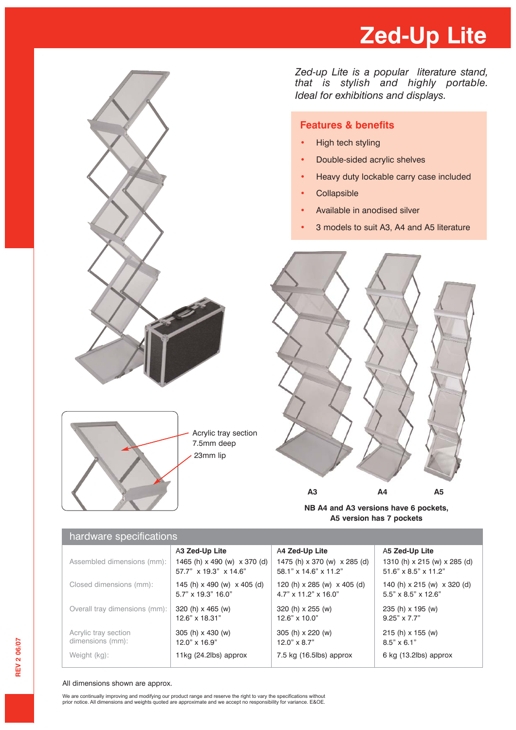# **Zed-Up Lite**



*Zed-up Lite is a popular literature stand, that is stylish and highly portable. Ideal for exhibitions and displays.*

### **Features & benefits**

- High tech styling
- Double-sided acrylic shelves
- **•** Heavy duty lockable carry case included
- Collapsible
- Available in anodised silver
- **•** 3 models to suit A3, A4 and A5 literature



**NB A4 and A3 versions have 6 pockets, A5 version has 7 pockets**

| $1.41$ and $1.41$ and $1.41$             |                                                       |                                                                 |                                                                |
|------------------------------------------|-------------------------------------------------------|-----------------------------------------------------------------|----------------------------------------------------------------|
|                                          | A3 Zed-Up Lite                                        | A4 Zed-Up Lite                                                  | A5 Zed-Up Lite                                                 |
| Assembled dimensions (mm):               | 1465 (h) x 490 (w) x 370 (d)<br>57.7" x 19.3" x 14.6" | 1475 (h) x 370 (w) x 285 (d)<br>58.1" x 14.6" x 11.2"           | 1310 (h) x 215 (w) x 285 (d)<br>51.6" x 8.5" x 11.2"           |
| Closed dimensions (mm):                  | 145 (h) x 490 (w) x 405 (d)<br>5.7" x 19.3" 16.0"     | 120 (h) x 285 (w) x 405 (d)<br>$4.7" \times 11.2" \times 16.0"$ | 140 (h) x 215 (w) x 320 (d)<br>$5.5" \times 8.5" \times 12.6"$ |
| Overall tray dimensions (mm):            | 320 (h) x 465 (w)<br>12.6" x 18.31"                   | 320 (h) x 255 (w)<br>$12.6" \times 10.0"$                       | 235 (h) x 195 (w)<br>$9.25" \times 7.7"$                       |
| Acrylic tray section<br>dimensions (mm): | 305 (h) x 430 (w)<br>12.0" x 16.9"                    | 305 (h) x 220 (w)<br>$12.0" \times 8.7"$                        | 215 (h) x 155 (w)<br>$8.5" \times 6.1"$                        |
| Weight (kg):                             | 11 $kg(24.2$ lbs) approx                              | 7.5 kg (16.5lbs) approx                                         | 6 kg (13.2lbs) approx                                          |

#### All dimensions shown are approx.

hardware specifications

We are continually improving and modifying our product range and reserve the right to vary the specifications without<br>prior notice. All dimensions and weights quoted are approximate and we accept no responsibility for vari

23mm lip

Acrylic tray section 7.5mm deep